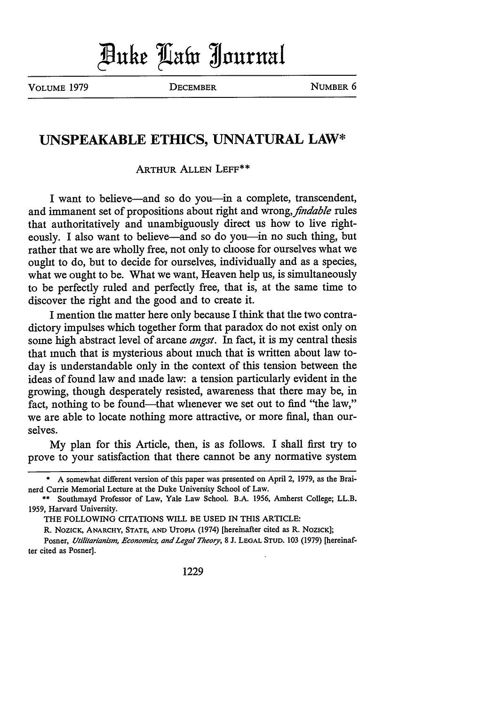## Buke Law Journal

VOLUME 1979 DECEMBER NUMBER 6

## **UNSPEAKABLE ETHICS, UNNATURAL** LAW\*

ARTHUR ALLEN LEFF\*\*

I want to believe-and so do you-in a complete, transcendent, and immanent set of propositions about right and *wrong,findable* rules that authoritatively and unambiguously direct us how to live righteously. I also want to believe—and so do you—in no such thing, but rather that we are wholly free, not only to choose for ourselves what we ought to do, but to decide for ourselves, individually and as a species, what we ought to be. What we want, Heaven help us, is simultaneously to be perfectly ruled and perfectly free, that is, at the same time to discover the right and the good and to create it.

I mention the matter here only because I think that the two contradictory impulses which together form that paradox do not exist only on some high abstract level of arcane *angst.* In fact, it is my central thesis that much that is mysterious about much that is written about law today is understandable only in the context of this tension between the ideas of found law and made law: a tension particularly evident in the growing, though desperately resisted, awareness that there may be, in fact, nothing to be found-that whenever we set out to find "the law," we are able to locate nothing more attractive, or more final, than ourselves.

My plan for this Article, then, is as follows. I shall first try to prove to your satisfaction that there cannot be any normative system

THE FOLLOWING CITATIONS WILL BE USED IN THIS ARTICLE:

R. Nozick, ANARCHY, STATE, AND UTOPIA (1974) [hereinafter cited as R. Nozick];

Posner, *Utilitarianism, Economics, and Legal Theory*, 8 J. LEGAL STUD. 103 (1979) [hereinafter cited as Posner].

A somewhat different version of this paper was presented on April 2, 1979, as the Brainerd Currie Memorial Lecture at the Duke University School of Law.

<sup>\*\*</sup> Southmayd Professor of Law, Yale Law School. B.A. 1956, Amherst College; LL.B. 1959, Harvard University.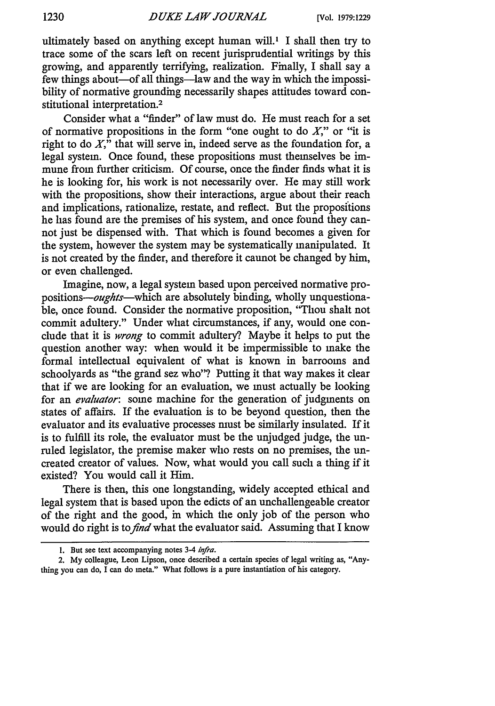ultimately based on anything except human will.' I shall then try to trace some of the scars left on recent jurisprudential writings by this growing, and apparently terrifying, realization. Finally, I shall say a few things about—of all things—law and the way in which the impossibility of normative grounding necessarily shapes attitudes toward constitutional interpretation.<sup>2</sup>

Consider what a "finder" of law must do. He must reach for a set of normative propositions in the form "one ought to do *X,"* or "it is right to do *X,"* that will serve in, indeed serve as the foundation for, a legal system. Once found, these propositions must themselves be immune from further criticism. Of course, once the finder finds what it is he is looking for, his work is not necessarily over. He may still work with the propositions, show their interactions, argue about their reach and implications, rationalize, restate, and reflect. But the propositions he has found are the premises of his system, and once found they cannot just be dispensed with. That which is found becomes a given for the system, however the system may be systematically manipulated. It is not created by the finder, and therefore it cannot be changed by him, or even challenged.

Imagine, now, a legal system based upon perceived normative propositions—*oughts*—which are absolutely binding, wholly unquestionable, once found. Consider the normative proposition, "Thou shalt not commit adultery." Under what circumstances, if any, would one conclude that it is wrong to commit adultery? Maybe it helps to put the question another way: when would it be impermissible to make the formal intellectual equivalent of what is known in barrooms and schoolyards as "the grand sez who"? Putting it that way makes it clear that if we are looking for an evaluation, we must actually be looking for an *evaluator*: some machine for the generation of judgments on states of affairs. If the evaluation is to be beyond question, then the evaluator and its evaluative processes must be similarly insulated. If it is to fulfill its role, the evaluator must be the unjudged judge, the unruled legislator, the premise maker who rests on no premises, the uncreated creator of values. Now, what would you call such a thing if it existed? You would call it Him.

There is then, this one longstanding, widely accepted ethical and legal system that is based upon the edicts of an unchallengeable creator of the right and the good, in which the only job of the person who would do right is *tofind* what the evaluator said. Assuming that I know

**<sup>1.</sup>** But see text accompanying notes 3-4 infra.

<sup>2.</sup> My colleague, Leon Lipson, once described a certain species of legal writing as, "Anything you can do, I can do meta." What follows is a pure instantiation of his category.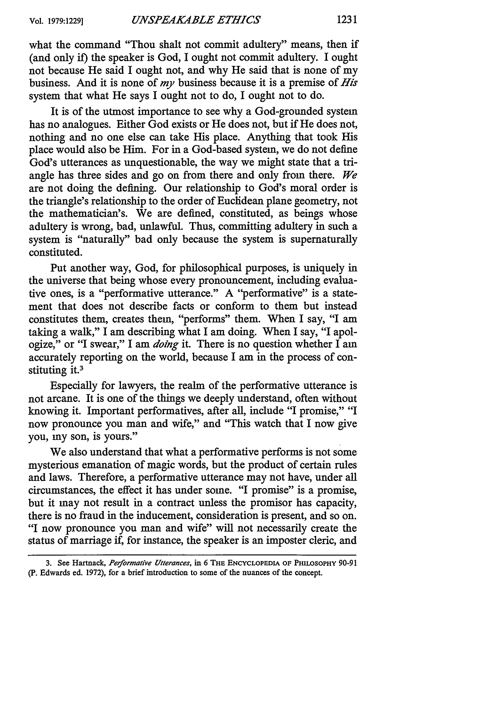what the command "Thou shalt not commit adultery" means, then if (and only if) the speaker is God, I ought not commit adultery. I ought not because He said I ought not, and why He said that is none of my business. And it is none of *my* business because it is a premise of *His* system that what He says I ought not to do, I ought not to do.

It is of the utmost importance to see why a God-grounded system has no analogues. Either God exists or He does not, but if He does not, nothing and no one else can take His place. Anything that took His place would also be Him. For in a God-based system, we do not define God's utterances as unquestionable, the way we might state that a triangle has three sides and go on from there and only from there. *We* are not doing the defining. Our relationship to God's moral order is the triangle's relationship to the order of Euclidean plane geometry, not the mathematician's. We are defined, constituted, as beings whose adultery is wrong, bad, unlawful. Thus, committing adultery in such a system is "naturally" bad only because the system is supernaturally constituted.

Put another way, God, for philosophical purposes, is uniquely in the universe that being whose every pronouncement, including evaluative ones, is a "performative utterance." A "performative" is a statement that does not describe facts or conform to them but instead constitutes them, creates them, "performs" them. When I say, "I am taking a walk," I am describing what I am doing. When I say, "I apologize," or "I swear," I am *doing* it. There is no question whether I am accurately reporting on the world, because I am in the process of constituting it.3

Especially for lawyers, the realm of the performative utterance is not arcane. It is one of the things we deeply understand, often without knowing it. Important performatives, after all, include "I promise," "I now pronounce you man and wife," and "This watch that **I** now give you, my son, is yours."

We also understand that what a performative performs is not some mysterious emanation of magic words, but the product of certain rules and laws. Therefore, a performative utterance may not have, under all circumstances, the effect it has under some. "I promise" is a promise, but it may not result in a contract unless the promisor has capacity, there is no fraud in the inducement, consideration is present, and so on. "I now pronounce you man and wife" will not necessarily create the status of marriage if, for instance, the speaker is an imposter cleric, and

**<sup>3.</sup>** See Hartnack, *Performadve Utterances,* in **6** THE **ENCYCLOPEDIA OF** PHILOSOPHY 90-91 (P. Edwards ed. 1972), for a brief introduction to some of the nuances of the concept.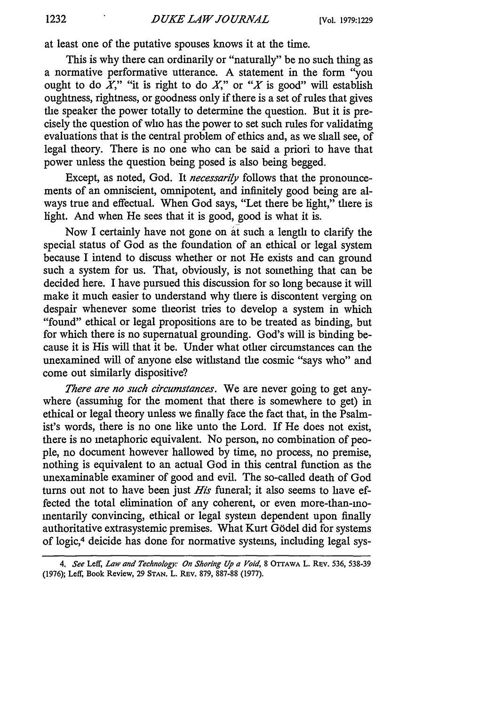at least one of the putative spouses knows it at the time.

This is why there can ordinarily or "naturally" be no such thing as a normative performative utterance. A statement in the form "you ought to do  $\tilde{X}$ ," "it is right to do  $X$ ," or "X is good" will establish oughtness, rightness, or goodness only if there is a set of rules that gives the speaker the power totally to determine the question. But it is precisely the question of who has the power to set such rules for validating evaluations that is the central problem of ethics and, as we shall see, of legal theory. There is no one who can be said a priori to have that power unless the question being posed is also being begged.

Except, as noted, God. It *necessarily* follows that the pronouncements of an omniscient, omnipotent, and infinitely good being are always true and effectual. When God says, "Let there be light," there is light. And when He sees that it is good, good is what it is.

Now I certainly have not gone on at such a length to clarify the special status of God as the foundation of an ethical or legal system because I intend to discuss whether or not He exists and can ground such a system for us. That, obviously, is not something that can be decided here. I have pursued this discussion for so long because it will make it much easier to understand why there is discontent verging on despair whenever some theorist tries to develop a system in which "found" ethical or legal propositions are to be treated as binding, but for which there is no supernatual grounding. God's will is binding because it is His will that it be. Under what other circumstances can the unexamined will of anyone else withstand the cosmic "says who" and come out similarly dispositive?

*There are no such circumstances.* We are never going to get anywhere (assuming for the moment that there is somewhere to get) in ethical or legal theory unless we finally face the fact that, in the Psalmist's words, there is no one like unto the Lord. If He does not exist, there is no metaphoric equivalent. No person, no combination of people, no document however hallowed by time, no process, no premise, nothing is equivalent to an actual God in this central function as the unexaminable examiner of good and evil. The so-called death of God turns out not to have been just *His* funeral; it also seems to have effected the total elimination of any coherent, or even more-than-momentarily convincing, ethical or legal system dependent upon finally authoritative extrasystemic premises. What Kurt Gödel did for systems of logic,4 deicide has done for normative systems, including legal sys-

*<sup>4.</sup> See Leff, Law and Technology: On Shoring Up a Void,* 8 OTrAWA L. REv. 536, 538-39 (1976); Left, Book Review, 29 **STAN.** L. REv. 879, 887-88 (1977).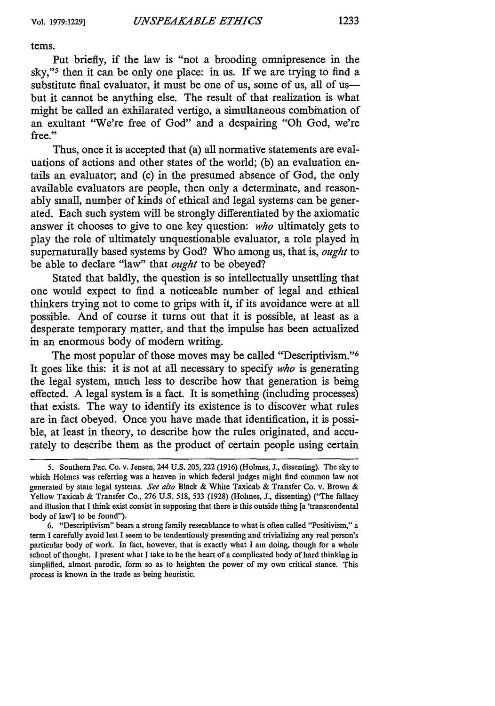tems.

Put briefly, if the law is "not a brooding omnipresence in the sky,"<sup>5</sup> then it can be only one place: in us. If we are trying to find a substitute final evaluator, it must be one of us, some of us, all of usbut it cannot be anything else. The result of that realization is what might be called an exhilarated vertigo, a simultaneous combination of an exultant "We're free of God" and a despairing "Oh God, we're free."

Thus, once it is accepted that (a) all normative statements are evaluations of actions and other states of the world; (b) an evaluation entails an evaluator; and (c) in the presumed absence of God, the only available evaluators are people, then only a determinate, and reasonably small, number of kinds of ethical and legal systems can be generated. Each such system will be strongly differentiated by the axiomatic answer it chooses to give to one key question: *who* ultimately gets to play the role of ultimately unquestionable evaluator, a role played in supernaturally based systems by God? Who among us, that is, *ought* to be able to declare "law" that *ought* to be obeyed?

Stated that baldly, the question is so intellectually unsettling that one would expect to find a noticeable number of legal and ethical thinkers trying not to come to grips with it, if its avoidance were at all possible. And of course it turns out that it is possible, at least as a desperate temporary matter, and that the impulse has been actualized in an enormous body of modem writing.

The most popular of those moves may be called "Descriptivism."<sup>6</sup> It goes like this: it is not at all necessary to specify *who* is generating the legal system, much less to describe how that generation is being effected. A legal system is a fact. It is something (including processes) that exists. The way to identify its existence is to discover what rules are in fact obeyed. Once you have made that identification, it is possible, at least in theory, to describe how the rules originated, and accurately to describe them as the product of certain people using certain

<sup>5.</sup> Southern Pac. Co. v. Jensen, 244 U.S. 205, 222 (1916) (Holmes, J., dissenting). The sky to which Holmes was referring was a heaven in which federal judges might find common law not generated by state legal systems. See also Black & White Taxicab & Transfer Co. v. Brown & Yellow Taxicab & Transfer Co., 276 U.S. 518, 533 (1928) (Holmes, J., dissenting) ("The fallacy and illusion that I think exist consist in supposing that there is this outside thing [a 'transcendental body of law'] to be found").

<sup>6. &</sup>quot;Descriptivism" bears a strong family resemblance to what is often called "Positivism," a term I carefully avoid lest I seem to be tendentiously presenting and trivializing any real person's particular body of work. In fact, however, that is exactly what I am doing, though for a whole school of thought. I present what I take to be the heart of a complicated body of hard thinking in simplified, almost parodic, form so as to heighten the power of my own critical stance. This process is known in the trade as being heuristic.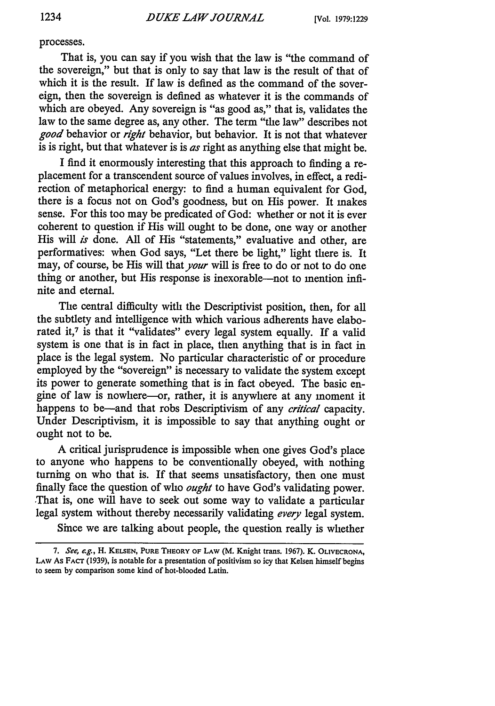processes.

That is, you can say if you wish that the law is "the command of the sovereign," but that is only to say that law is the result of that of which it is the result. If law is defined as the command of the sovereign, then the sovereign is defined as whatever it is the commands of which are obeyed. Any sovereign is "as good as," that is, validates the law to the same degree as, any other. The term "the law" describes not *good* behavior or *right* behavior, but behavior. It is not that whatever is is right, but that whatever is is *as* right as anything else that might be.

I find it enormously interesting that this approach to finding a replacement for a transcendent source of values involves, in effect, a redirection of metaphorical energy: to find a human equivalent for God, there is a focus not on God's goodness, but on His power. It makes sense. For this too may be predicated of God: whether or not it is ever coherent to question if His will ought to be done, one way or another His will *is* done. All of His "statements," evaluative and other, are performatives: when God says, "Let there be light," light there is. It may, of course, be His will *that your* will is free to do or not to do one thing or another, but His response is inexorable--not to mention infinite and eternal.

The central difficulty with the Descriptivist position, then, for all the subtlety and intelligence with which various adherents have elaborated it,7 is that it "validates" every legal system equally. If a valid system is one that is in fact in place, then anything that is in fact in place is the legal system. No particular characteristic of or procedure employed by the "sovereign" is necessary to validate the system except its power to generate something that is in fact obeyed. The basic engine of law is nowhere-or, rather, it is anywhere at any moment it happens to be—and that robs Descriptivism of any *critical* capacity. Under Descriptivism, it is impossible to say that anything ought or ought not to be.

A critical jurisprudence is impossible when one gives God's place to anyone who happens to be conventionally obeyed, with nothing turning on who that is. If that seems unsatisfactory, then one must finally face the question of who *ought* to have God's validating power. That is, one will have to seek out some way to validate a particular legal system without thereby necessarily validating *every* legal system.

Since we are talking about people, the question really is whether

**<sup>7.</sup>** See, **e.g.,** H. **KELSEN,** PURE **THEORY OF LAW** (M. Knight trans. **1967).** K. **OLIVECRONA,** LAW As **FACT (1939),** is notable for a presentation of positivism so icy that Kelsen himself begins to seem **by** comparison some kind of hot-blooded Latin.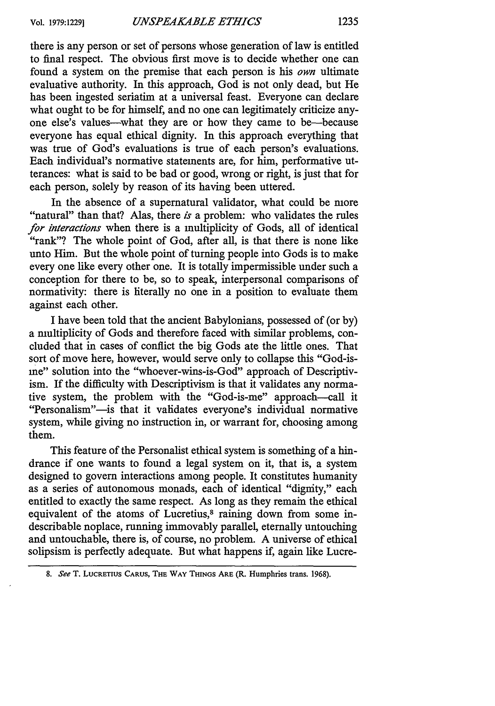there is any person or set of persons whose generation of law is entitled to final respect. The obvious first move is to decide whether one can found a system on the premise that each person is his *own* ultimate evaluative authority. In this approach, God is not only dead, but He has been ingested seriatim at a universal feast. Everyone can declare what ought to be for himself, and no one can legitimately criticize anyone else's values-what they are or how they came to be-because everyone has equal ethical dignity. In this approach everything that was true of God's evaluations is true of each person's evaluations. Each individual's normative statements are, for him, performative utterances: what is said to be bad or good, wrong or right, is just that for each person, solely by reason of its having been uttered.

In the absence of a supernatural validator, what could be more "natural" than that? Alas, there *is* a problem: who validates the rules *for interactions* when there is a multiplicity of Gods, all of identical "rank"? The whole point of God, after all, is that there is none like unto Him. But the whole point of turning people into Gods is to make every one like every other one. It is totally impermissible under such a conception for there to be, so to speak, interpersonal comparisons of normativity: there is literally no one in a position to evaluate them against each other.

I have been told that the ancient Babylonians, possessed of (or by) a multiplicity of Gods and therefore faced with similar problems, concluded that in cases of conflict the big Gods ate the little ones. That sort of move here, however, would serve only to collapse this "God-isme" solution into the "whoever-wins-is-God" approach of Descriptivism. If the difficulty with Descriptivism is that it validates any normative system, the problem with the "God-is-me" approach--call it "Personalism"-is that it validates everyone's individual normative system, while giving no instruction in, or warrant for, choosing among them.

This feature of the Personalist ethical system is something of a hindrance if one wants to found a legal system on it, that is, a system designed to govern interactions among people. It constitutes humanity as a series of autonomous monads, each of identical "dignity," each entitled to exactly the same respect. As long as they remain the ethical equivalent of the atoms of Lucretius,<sup>8</sup> raining down from some indescribable noplace, running immovably parallel, eternally untouching and untouchable, there is, of course, no problem. A universe of ethical solipsism is perfectly adequate. But what happens if, again like Lucre-

*<sup>8.</sup>* See T. **LUCRETIUS CARUS, THE WAY THINGS ARE** (R. Humphries trans. **1968).**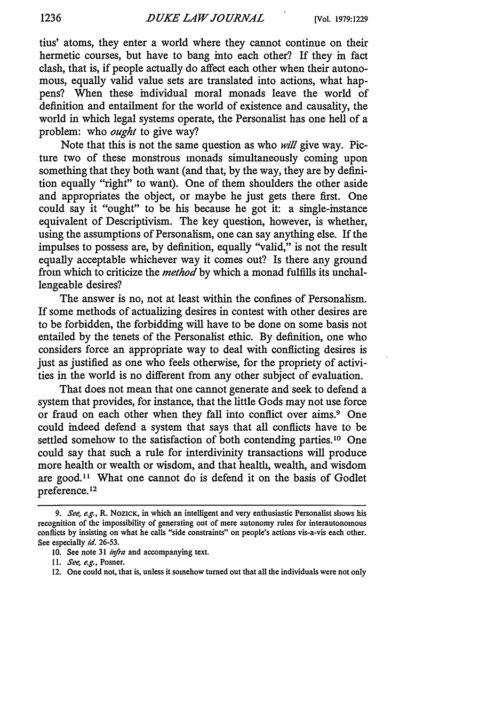tius' atoms, they enter a world where they cannot continue on their hermetic courses, but have to bang into each other? If they in fact clash, that is, if people actually do affect each other when their autonomous, equally valid value sets are translated into actions, what happens? When these individual moral monads leave the world of definition and entailment for the world of existence and causality, the world in which legal systems operate, the Personalist has one hell of a problem: who *ought* to give way?

Note that this is not the same question as who *will* give way. Picture two of these monstrous monads simultaneously coming upon something that they both want (and that, by the way, they are by definition equally "right" to want). One of them shoulders the other aside and appropriates the object, or maybe he just gets there first. One could say it "ought" to be his because he got it: a single-instance equivalent of Descriptivism. The key question, however, is whether, using the assumptions of Personalism, one can say anything else. If the impulses to possess are, by definition, equally "valid," is not the result equally acceptable whichever way it comes out? Is there any ground from which to criticize the *method* by which a monad fulfills its unchallengeable desires?

The answer is no, not at least within the confines of Personalism. If some methods of actualizing desires in contest with other desires are to be forbidden, the forbidding will have to be done on some basis not entailed by the tenets of the Personalist ethic. By definition, one who considers force an appropriate way to deal with conflicting desires is just as justified as one who feels otherwise, for the propriety of activities in the world is no different from any other subject of evaluation.

That does not mean that one cannot generate and seek to defend a system that provides, for instance, that the little Gods may not use force or fraud on each other when they fall into conflict over aims.9 One could indeed defend a system that says that all conflicts have to be settled somehow to the satisfaction of both contending parties.<sup>10</sup> One could say that such a rule for interdivinity transactions will produce more health or wealth or wisdom, and that health, wealth, and wisdom are good.<sup>11</sup> What one cannot do is defend it on the basis of Godlet preference.<sup>12</sup>

*<sup>9.</sup>* See, e.g., R. NOZICK, in which an intelligent and very enthusiastic Personalist shows his recognition of the impossibility of generating out of mere autonomy rules for interautonomous conflicts by insisting on what he calls "side constraints" on people's actions vis-a-vis each other. See especially *Id.* 26-53.

<sup>10.</sup> See note 31 infra and accompanying text.

<sup>11.</sup> *See*, *e.g.*, Posner.

<sup>12.</sup> One could not, that is, unless it somehow turned out that all the individuals were not only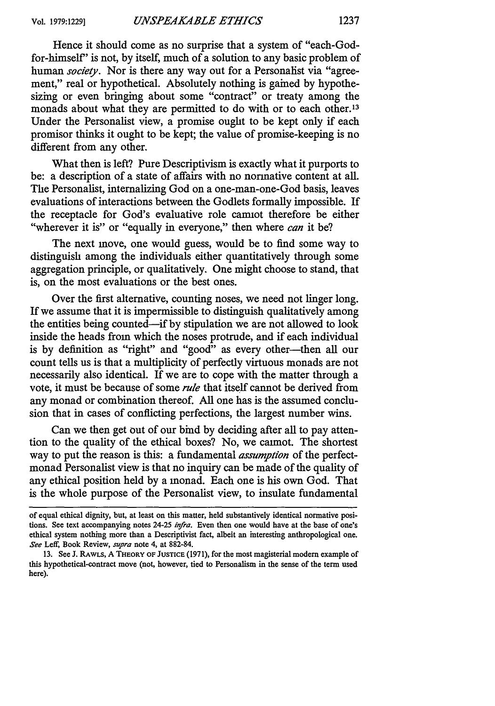Hence it should come as no surprise that a system of "each-Godfor-himself' is not, by itself, much of a solution to any basic problem of human *society*. Nor is there any way out for a Personalist via "agreement," real or hypothetical. Absolutely nothing is gained by hypothesizing or even bringing about some "contract" or treaty among the monads about what they are permitted to do with or to each other.<sup>13</sup> Under the Personalist view, a promise ought to be kept only if each promisor thinks it ought to be kept; the value of promise-keeping is no different from any other.

What then is left? Pure Descriptivism is exactly what it purports to be: a description of a state of affairs with no normative content at all. The Personalist, internalizing God on a one-man-one-God basis, leaves evaluations of interactions between the Godlets formally impossible. If the receptacle for God's evaluative role cannot therefore be either "wherever it is" or "equally in everyone," then where *can* it be?

The next move, one would guess, would be to find some way to distinguish among the individuals either quantitatively through some aggregation principle, or qualitatively. One might choose to stand, that is, on the most evaluations or the best ones.

Over the first alternative, counting noses, we need not linger long. If we assume that it is impermissible to distinguish qualitatively among the entities being counted-if by stipulation we are not allowed to look inside the heads from which the noses protrude, and if each individual is by definition as "right" and "good" as every other—then all our count tells us is that a multiplicity of perfectly virtuous monads are not necessarily also identical. If we are to cope with the matter through a vote, it must be because of some *rule* that itself cannot be derived from any monad or combination thereof. All one has is the assumed conclusion that in cases of conflicting perfections, the largest number wins.

Can we then get out of our bind by deciding after all to pay attention to the quality of the ethical boxes? No, we cannot. The shortest way to put the reason is this: a fundamental *assumption* of the perfectmonad Personalist view is that no inquiry can be made of the quality of any ethical position held by a monad. Each one is his own God. That is the whole purpose of the Personalist view, to insulate fundamental

of equal ethical dignity, but, at least on this matter, held substantively identical normative positions. See text accompanying notes 24-25 *infra.* Even then one would have at the base of one's ethical system nothing more than a Descriptivist fact, albeit an interesting anthropological one. *See* Leff, Book Review, *supra* note 4, at 882-84.

<sup>13.</sup> See J. RAWLS, A THEORY OF JUsTIcE (1971), for the most magisterial modem example of this hypothetical-contract move (not, however, tied to Personalism in the sense of the term used here).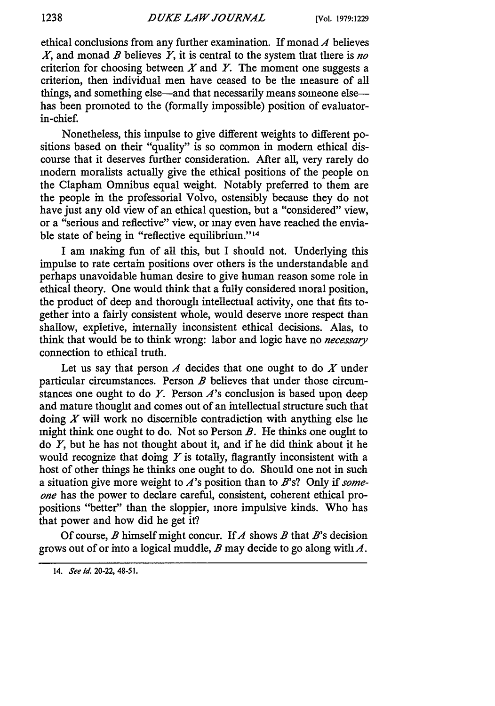ethical conclusions from any further examination. If monad  $\Lambda$  believes *X,* and monad *B* believes Y, it is central to the system that there is *no* criterion for choosing between  $X$  and  $Y$ . The moment one suggests a criterion, then individual men have ceased to be the measure of all things, and something else—and that necessarily means someone else has been promoted to the (formally impossible) position of evaluatorin-chief.

Nonetheless, this impulse to give different weights to different positions based on their "quality" is so common in modem ethical discourse that it deserves further consideration. After all, very rarely do modern moralists actually give the ethical positions of the people on the Clapham Omnibus equal weight. Notably preferred to them are the people in the professorial Volvo, ostensibly because they do not have just any old view of an ethical question, but a "considered" view, or a "serious and reflective" view, or may even have reached the enviable state of being in "reflective equilibrium."<sup>14</sup>

I am making fun of all this, but I should not. Underlying this impulse to rate certain positions over others is the understandable and perhaps unavoidable human desire to give human reason some role in ethical theory. One would think that a fully considered moral position, the product of deep and thorough intellectual activity, one that fits together into a fairly consistent whole, would deserve more respect than shallow, expletive, internally inconsistent ethical decisions. Alas, to think that would be to think wrong: labor and logic have no *necessary* connection to ethical truth.

Let us say that person  $\Lambda$  decides that one ought to do  $\Lambda$  under particular circumstances. Person *B* believes that under those circumstances one ought to do *Y.* Person A's conclusion is based upon deep and mature thought and comes out of an intellectual structure such that doing *X* will work no discernible contradiction with anything else he might think one ought to do. Not so Person *B.* He thinks one ought to do *Y,* but he has not thought about it, and if he did think about it he would recognize that doing  $Y$  is totally, flagrantly inconsistent with a host of other things he thinks one ought to do. Should one not in such a situation give more weight to A's position than to *B's?* Only if *someone* has the power to declare careful, consistent, coherent ethical propositions "better" than the sloppier, more impulsive kinds. Who has that power and how did he get it?

Of course, *B* himself might concur. If *A* shows *B* that *B's* decision grows out of or into a logical muddle, *B* may decide to go along with *A.*

<sup>14.</sup> *See id.* 20-22, 48-5 1.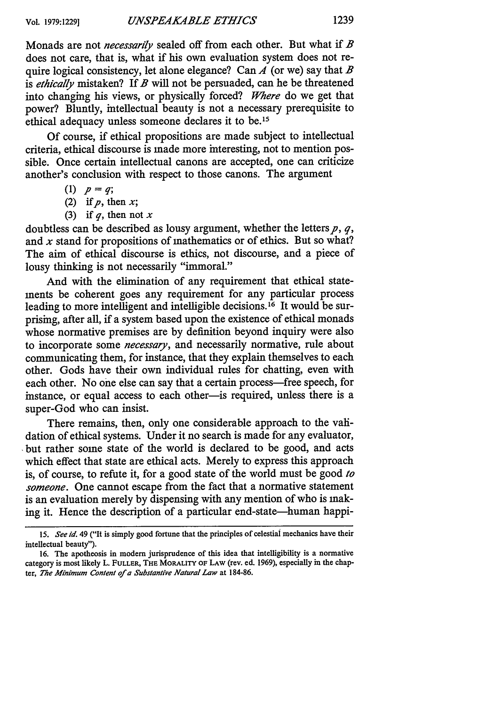Monads are not *necessarily* sealed off from each other. But what if *B* does not care, that is, what if his own evaluation system does not require logical consistency, let alone elegance? Can *A* (or we) say that *B* is *ethically* mistaken? If *B* will not be persuaded, can he be threatened into changing his views, or physically forced? *Where* do we get that power? Bluntly, intellectual beauty is not a necessary prerequisite to ethical adequacy unless someone declares it to be.<sup>15</sup>

Of course, if ethical propositions are made subject to intellectual criteria, ethical discourse is made more interesting, not to mention possible. Once certain intellectual canons are accepted, one can criticize another's conclusion with respect to those canons. The argument

- (1)  $p = q$ ;
- (2) if  $p$ , then  $x$ ;
- (3) if *q,* then not *x*

doubtless can be described as lousy argument, whether the letters  $p$ ,  $q$ , and  $x$  stand for propositions of mathematics or of ethics. But so what? The aim of ethical discourse is ethics, not discourse, and a piece of lousy thinking is not necessarily "immoral."

And with the elimination of any requirement that ethical statements be coherent goes any requirement for any particular process leading to more intelligent and intelligible decisions.<sup>16</sup> It would be surprising, after all, if a system based upon the existence of ethical monads whose normative premises are by definition beyond inquiry were also to incorporate some *necessary,* and necessarily normative, rule about communicating them, for instance, that they explain themselves to each other. Gods have their own individual rules for chatting, even with each other. No one else can say that a certain process—free speech, for instance, or equal access to each other-is required, unless there is a super-God who can insist.

There remains, then, only one considerable approach to the validation of ethical systems. Under it no search is made for any evaluator, but rather some state of the world is declared to be good, and acts which effect that state are ethical acts. Merely to express this approach is, of course, to refute it, for a good state of the world must be good *to someone.* One cannot escape from the fact that a normative statement is an evaluation merely by dispensing with any mention of who is making it. Hence the description of a particular end-state-human happi-

*<sup>15.</sup> See id.* 49 ("It is simply good fortune that the principles of celestial mechanics have their intellectual beauty").

<sup>16.</sup> The apotheosis in modem jurisprudence of this idea that intelligibility is a normative category is most likely L. FULLER, **THE** MORALITY OF LAW (rev. ed. 1969), especially in the chapter, *The Minimum Content of a Substantive Natural Law* at 184-86.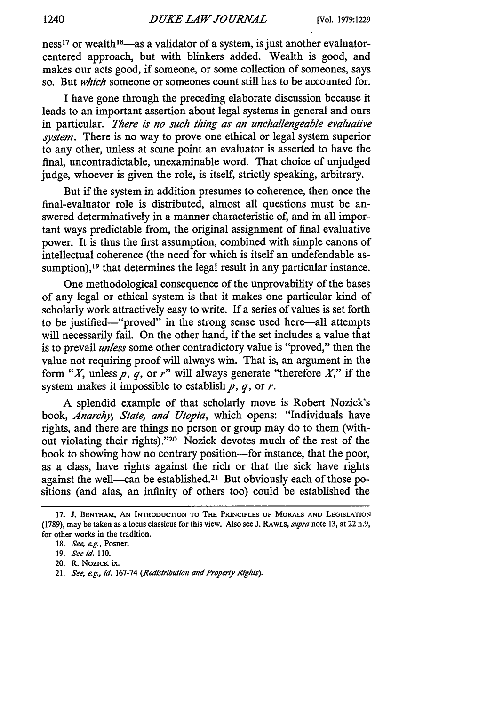ness<sup>17</sup> or wealth<sup>18</sup>—as a validator of a system, is just another evaluatorcentered approach, but with blinkers added. Wealth is good, and makes our acts good, if someone, or some collection of someones, says so. But *which* someone or someones count still has to be accounted for.

I have gone through the preceding elaborate discussion because it leads to an important assertion about legal systems in general and ours in particular. *There is no such thing as an unchallengeable evaluative system.* There is no way to prove one ethical or legal system superior to any other, unless at some point an evaluator is asserted to have the final, uncontradictable, unexaminable word. That choice of unjudged judge, whoever is given the role, is itself, strictly speaking, arbitrary.

But if the system in addition presumes to coherence, then once the final-evaluator role is distributed, almost all questions must be answered determinatively in a manner characteristic of, and in all important ways predictable from, the original assignment of final evaluative power. It is thus the first assumption, combined with simple canons of intellectual coherence (the need for which is itself an undefendable assumption), $<sup>19</sup>$  that determines the legal result in any particular instance.</sup>

One methodological consequence of the unprovability of the bases of any legal or ethical system is that it makes one particular kind of scholarly work attractively easy to write. If a series of values is set forth to be justified—"proved" in the strong sense used here—all attempts will necessarily fail. On the other hand, if the set includes a value that is to prevail *unless* some other contradictory value is "proved," then the value not requiring proof will always win. That is, an argument in the form "X, unless  $p$ ,  $q$ , or  $r$ " will always generate "therefore  $X$ ," if the system makes it impossible to establish  $p$ ,  $q$ , or  $r$ .

A splendid example of that scholarly move is Robert Nozick's book, *Anarchy, State, and Utopia,* which opens: "Individuals have rights, and there are things no person or group may do to them (without violating their rights)."'20 Nozick devotes much of the rest of the book to showing how no contrary position—for instance, that the poor, as a class, have rights against the rich or that the sick have rights against the well—can be established.<sup>21</sup> But obviously each of those positions (and alas, an infinity of others too) could be established the

**<sup>17.</sup> J. BENTHAM,** AN **INTRODUCTION TO THE** PRINCIPLES OF **MORALS AND LEGISLATION** (1789), may be taken as a locus classicus for this view. Also see **J.** RAwLs, supra note **13,** at 22 n.9, for other works in the tradition.

<sup>18.</sup> See, e.g., Posner.

<sup>19.</sup> See id. **I10.**

<sup>20.</sup> R. NozICK **ix.**

**<sup>21.</sup>** See, e.g., **id.** 167-74 (Redistribution and Property Rights).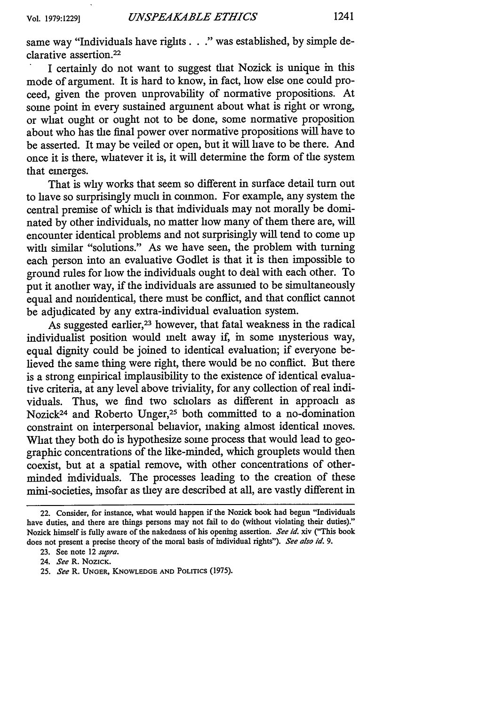same way "Individuals have rights . . ." was established, by simple declarative assertion.<sup>22</sup>

I certainly do not want to suggest that Nozick is unique in this mode of argument. It is hard to know, in fact, how else one could proceed, given the proven unprovability of normative propositions. At some point in every sustained argument about what is right or wrong, or what ought or ought not to be done, some normative proposition about who has the final power over normative propositions will have to be asserted. It may be veiled or open, but it will have to be there. And once it is there, whatever it is, it will determine the form of the system that emerges.

That is why works that seem so different in surface detail turn out to have so surprisingly much in common. For example, any system the central premise of which is that individuals may not morally be dominated by other individuals, no matter how many of them there are, will encounter identical problems and not surprisingly will tend to come up with similar "solutions." As we have seen, the problem with turning each person into an evaluative Godlet is that it is then impossible to ground rules for how the individuals ought to deal with each other. To put it another way, if the individuals are assumed to be simultaneously equal and nonidentical, there must be conflict, and that conflict cannot be adjudicated by any extra-individual evaluation system.

As suggested earlier,<sup>23</sup> however, that fatal weakness in the radical individualist position would melt away if, in some mysterious way, equal dignity could be joined to identical evaluation; if everyone believed the same thing were right, there would be no conflict. But there is a strong empirical implausibility to the existence of identical evaluative criteria, at any level above triviality, for any collection of real individuals. Thus, we find two scholars as different in approach as Nozick<sup>24</sup> and Roberto Unger,<sup>25</sup> both committed to a no-domination constraint on interpersonal behavior, making almost identical moves. What they both do is hypothesize some process that would lead to geographic concentrations of the like-minded, which grouplets would then coexist, but at a spatial remove, with other concentrations of otherminded individuals. The processes leading to the creation of these mini-societies, insofar as they are described at all, are vastly different in

<sup>22.</sup> Consider, for instance, what would happen if the Nozick book had begun "Individuals have duties, and there are things persons may not fail to do (without violating their duties)." Nozick himself is fully aware of the nakedness of his opening assertion. *See id.* xiv ("This book does not present a precise theory of the moral basis of individual rights"). *See also Id. 9.*

<sup>23.</sup> See note 12 *supra.*

<sup>24.</sup> *See* R. NOZICK.

*<sup>25.</sup> See* R. **UNGER, KNOWLEDGE AND** POLITICS (1975).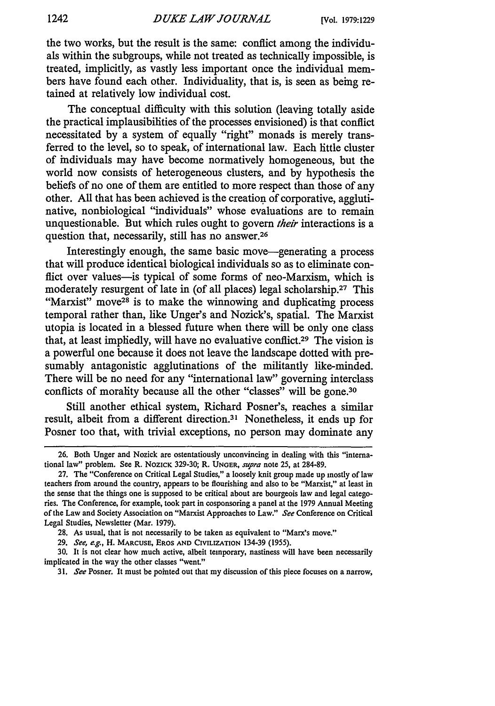the two works, but the result is the same: conflict among the individuals within the subgroups, while not treated as technically impossible, is treated, implicitly, as vastly less important once the individual members have found each other. Individuality, that is, is seen as being retained at relatively low individual cost.

The conceptual difficulty with this solution (leaving totally aside the practical implausibilities of the processes envisioned) is that conflict necessitated by a system of equally "right" monads is merely transferred to the level, so to speak, of international law. Each little cluster of individuals may have become normatively homogeneous, but the world now consists of heterogeneous clusters, and by hypothesis the beliefs of no one of them are entitled to more respect than those of any other. All that has been achieved is the creation of corporative, agglutinative, nonbiological "individuals" whose evaluations are to remain unquestionable. But which rules ought to govern *their* interactions is a question that, necessarily, still has no answer.<sup>26</sup>

Interestingly enough, the same basic move-generating a process that will produce identical biological individuals so as to eliminate conflict over values-is typical of some forms of neo-Marxism, which is moderately resurgent of late in (of all places) legal scholarship.<sup>27</sup> This "Marxist" move<sup>28</sup> is to make the winnowing and duplicating process temporal rather than, like Unger's and Nozick's, spatial. The Marxist utopia is located in a blessed future when there will be only one class that, at least impliedly, will have no evaluative conflict.29 The vision is a powerful one because it does not leave the landscape dotted with presumably antagonistic agglutinations of the militantly like-minded. There will be no need for any "international law" governing interclass conflicts of morality because all the other "classes" will be gone.<sup>30</sup>

Still another ethical system, Richard Posner's, reaches a similar result, albeit from a different direction.<sup>31</sup> Nonetheless, it ends up for Posner too that, with trivial exceptions, no person may dominate any

**<sup>26.</sup>** Both Unger and Nozick are ostentatiously unconvincing in dealing with this "international law" problem. See R. NOZICK 329-30; R. UNGER, supra note 25, at 284-89.

**<sup>27.</sup>** The "Conference on Critical Legal Studies," a loosely knit group made up mostly of law teachers from around the country, appears to be flourishing and also to be "Marxist," at least in the sense that the things one is supposed to be critical about are bourgeois law and legal categories. The Conference, for example, took part in cosponsoring a panel at the 1979 Annual Meeting of the Law and Society Association on "Marxist Approaches to Law." See Conference on Critical Legal Studies, Newsletter (Mar. 1979).

<sup>28.</sup> As usual, that is not necessarily to be taken as equivalent to "Marx's move."

**<sup>29.</sup>** See, *e.g.,* H. MARCUSE, **EROS AND CIVILIZATION** 134-39 **(1955).**

**<sup>30.</sup>** It is not clear how much active, albeit temporary, nastiness will have been necessarily implicated in the way the other classes "went."

**<sup>3</sup>** *1.* See Posner. It must be pointed out that my discussion of this piece focuses on a narrow,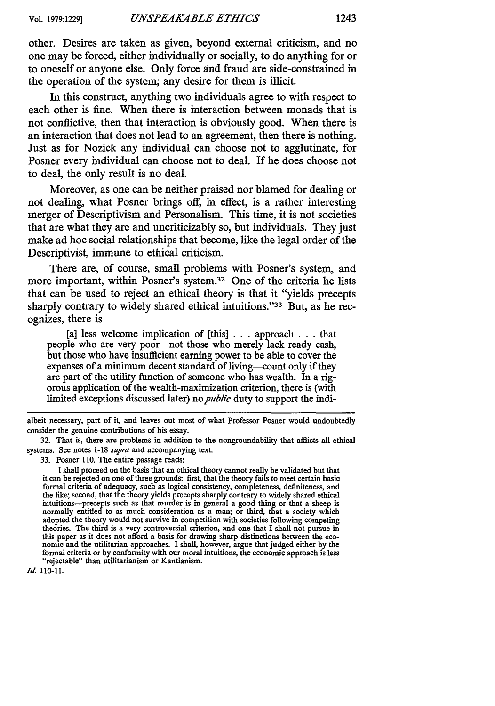other. Desires are taken as given, beyond external criticism, and no one may be forced, either individually or socially, to do anything for or to oneself or anyone else. Only force and fraud are side-constrained in the operation of the system; any desire for them is illicit.

In this construct, anything two individuals agree to with respect to each other is fine. When there is interaction between monads that is not conffictive, then that interaction is obviously good. When there is an interaction that does not lead to an agreement, then there is nothing. Just as for Nozick any individual can choose not to agglutinate, for Posner every individual can choose not to deal. If he does choose not to deal, the only result is no deal.

Moreover, as one can be neither praised nor blamed for dealing or not dealing, what Posner brings off, in effect, is a rather interesting merger of Descriptivism and Personalism. This time, it is not societies that are what they are and uncriticizably so, but individuals. They just make ad hoc social relationships that become, like the legal order of the Descriptivist, immune to ethical criticism.

There are, of course, small problems with Posner's system, and more important, within Posner's system.<sup>32</sup> One of the criteria he lists that can be used to reject an ethical theory is that it "yields precepts sharply contrary to widely shared ethical intuitions."<sup>33</sup> But, as he recognizes, there is

[a] less welcome implication of [this] . . . approach . . . that people who are very poor-not those who merely lack ready cash, but those who have insufficient earning power to be able to cover the expenses of a minimum decent standard of living-count only if they are part of the utility function of someone who has wealth. In a rigorous application of the wealth-maximization criterion, there is (with limited exceptions discussed later) *no public* duty to support the indi-

33. Posner 110. The entire passage reads:

I shall proceed on the basis that an ethical theory cannot really be validated but that it can be rejected on one of three grounds: first, that the theory fails to meet certain basic formal criteria of adequacy, such as logical consistency, completeness, definiteness, and the like; second, that the theory yields precepts sharply contrary to widely shared ethical intuitions-precepts such as that murder is in general a good thing or that a sheep is normally entitled to as much consideration as a man; or third, that a society which adopted the theory would not survive in competition with societies following competing theories. The third is a very controversial criterion, and one that I shall not pursue in this paper as it does not afford a basis for drawing sharp distinctions between the eco-<br>nomic and the utilitarian approaches. I shall, however, argue that judged either by the formal criteria or by conformity with our moral intuitions, the economic approach is less<br>"rejectable" than utilitarianism or Kantianism.

*Id.* **110-11.**

albeit necessary, part of it, and leaves out most of what Professor Posner would undoubtedly consider the genuine contributions of his essay.

<sup>32.</sup> That is, there are problems in addition to the nongroundability that afflicts all ethical systems. See notes 1-18 *supra* and accompanying text.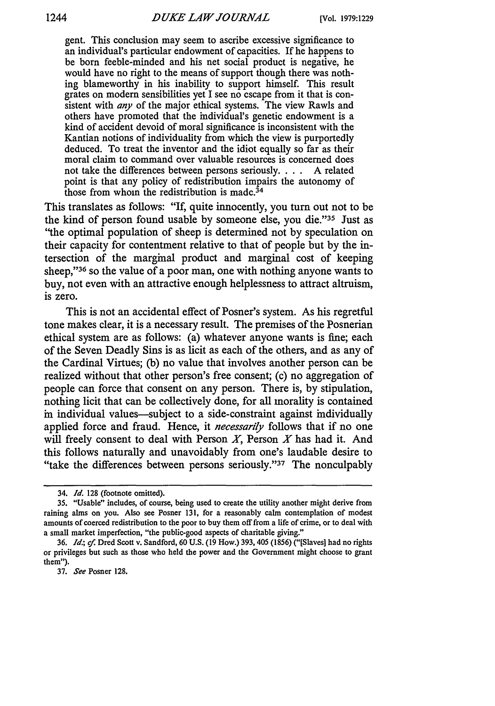gent. This conclusion may seem to ascribe excessive significance to an individual's particular endowment of capacities. If he happens to be born feeble-minded and his net social product is negative, he would have no right to the means of support though there was nothing blameworthy in his inability to support himself. This result grates on modem sensibilities yet I see no escape from it that is consistent with *any* of the major ethical systems. The view Rawls and others have promoted that the individual's genetic endowment is a kind of accident devoid of moral significance is inconsistent with the Kantian notions of individuality from which the view is purportedly deduced. To treat the inventor and the idiot equally so far as their moral claim to command over valuable resources is concerned does not take the differences between persons seriously. . **.** . A related point is that any policy of redistribution impairs the autonomy of those from whom the redistribution is made. $34$ 

This translates as follows: "If, quite innocently, you turn out not to be the kind of person found usable by someone else, you die."'35 Just as "the optimal population of sheep is determined not by speculation on their capacity for contentment relative to that of people but by the intersection of the marginal product and marginal cost of keeping sheep,"<sup>36</sup> so the value of a poor man, one with nothing anyone wants to buy, not even with an attractive enough helplessness to attract altruism, is zero.

This is not an accidental effect of Posner's system. As his regretful tone makes clear, it is a necessary result. The premises of the Posnerian ethical system are as follows: (a) whatever anyone wants is fine; each of the Seven Deadly Sins is as licit as each of the others, and as any of the Cardinal Virtues; (b) no value that involves another person can be realized without that other person's free consent; (c) no aggregation of people can force that consent on any person. There is, by stipulation, nothing licit that can be collectively done, for all morality is contained in individual values—subject to a side-constraint against individually applied force and fraud. Hence, it *necessarily* follows that if no one will freely consent to deal with Person *X,* Person *X* has had it. And this follows naturally and unavoidably from one's laudable desire to "take the differences between persons seriously."<sup>37</sup> The nonculpably

37. *See* Posner 128.

<sup>34.</sup> *Id.* 128 (footnote omitted).

<sup>35. &</sup>quot;Usable" includes, of course, being used to create the utility another might derive from raining alms on you. Also see Posner 131, for a reasonably calm contemplation of modest amounts of coerced redistribution to the poor to buy them off from a life of crime, or to deal with a small market imperfection, "the public-good aspects of charitable giving."

<sup>36.</sup> *Id.; Vf* Dred Scott v. Sandford, 60 U.S. (19 How.) 393,405 (1856) ("[Slaves] had no rights or privileges but such as those who held the power and the Government might choose to grant them").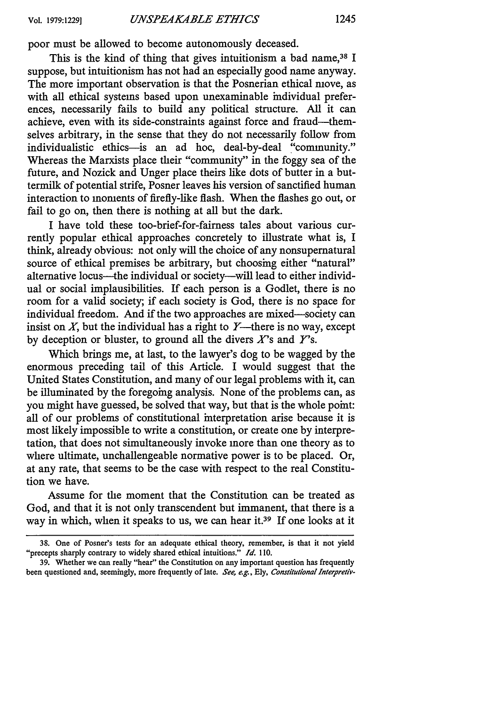poor must be allowed to become autonomously deceased.

This is the kind of thing that gives intuitionism a bad name,<sup>38</sup> I suppose, but intuitionism has not had an especially good name anyway. The more important observation is that the Posnerian ethical move, as with all ethical systems based upon unexaminable individual preferences, necessarily fails to build any political structure. All it can achieve, even with its side-constraints against force and fraud-themselves arbitrary, in the sense that they do not necessarily follow from individualistic ethics-is an ad hoc, deal-by-deal "community." Whereas the Marxists place their "community" in the foggy sea of the future, and Nozick and Unger place theirs like dots of butter in a buttermilk of potential strife, Posner leaves his version of sanctified human interaction to moments of firefly-like flash. When the flashes go out, or fail to go on, then there is nothing at all but the dark.

I have told these too-brief-for-fairness tales about various currently popular ethical approaches concretely to illustrate what is, I think, already obvious: not only will the choice of any nonsupernatural source of ethical premises be arbitrary, but choosing either "natural" alternative locus--- the individual or society---- will lead to either individual or social implausibilities. If each person is a Godlet, there is no room for a valid society; if each society is God, there is no space for individual freedom. And if the two approaches are mixed—society can insist on  $X$ , but the individual has a right to  $Y$ —there is no way, except by deception or bluster, to ground all the divers *X's* and Y's.

Which brings me, at last, to the lawyer's dog to be wagged by the enormous preceding tail of this Article. I would suggest that the United States Constitution, and many of our legal problems with it, can be illuminated by the foregoing analysis. None of the problems can, as you might have guessed, be solved that way, but that is the whole point: all of our problems of constitutional interpretation arise because it is most likely impossible to write a constitution, or create one by interpretation, that does not simultaneously invoke more than one theory as to where ultimate, unchallengeable normative power is to be placed. Or, at any rate, that seems to be the case with respect to the real Constitution we have.

Assume for the moment that the Constitution can be treated as God, and that it is not only transcendent but immanent, that there is a way in which, when it speaks to us, we can hear it.<sup>39</sup> If one looks at it

<sup>38.</sup> One of Posner's tests for an adequate ethical theory, remember, is that it not yield "precepts sharply contrary to widely shared ethical intuitions." *Id.* 110.

**<sup>39.</sup>** Whether we can really "hear" the Constitution on any important question has frequently been questioned and, seemingly, more frequently of late. See, e.g., Ely, *Constitutional Interpretiv-*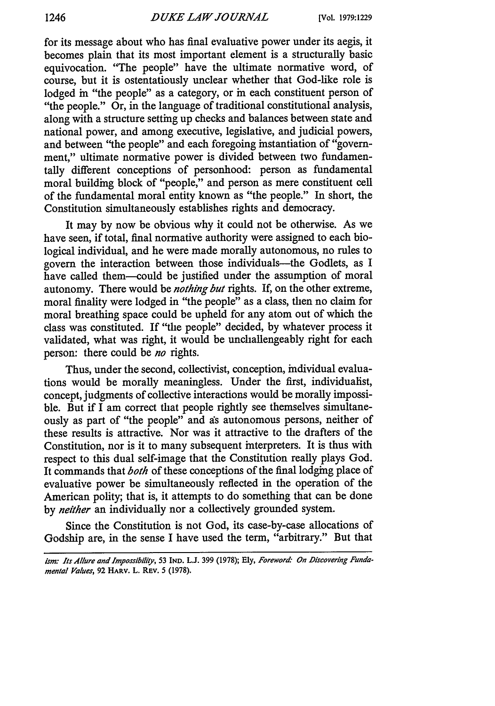for its message about who has final evaluative power under its aegis, it becomes plain that its most important element is a structurally basic equivocation. "The people" have the ultimate normative word, of course, but it is ostentatiously unclear whether that God-like role is lodged in "the people" as a category, or in each constituent person of "the people." Or, in the language of traditional constitutional analysis, along with a structure setting up checks and balances between state and national power, and among executive, legislative, and judicial powers, and between "the people" and each foregoing instantiation of "government," ultimate normative power is divided between two fundamentally different conceptions of personhood: person as fundamental moral building block of "people," and person as mere constituent cell of the fundamental moral entity known as "the people." In short, the Constitution simultaneously establishes rights and democracy.

It may by now be obvious why it could not be otherwise. As we have seen, if total, final normative authority were assigned to each biological individual, and he were made morally autonomous, no rules to govern the interaction between those individuals-the Godlets, as I have called them—could be justified under the assumption of moral autonomy. There would be *nothing but* rights. If, on the other extreme, moral finality were lodged in "the people" as a class, then no claim for moral breathing space could be upheld for any atom out of which the class was constituted. If "the people" decided, by whatever process it validated, what was right, it would be unchallengeably right for each person: there could be *no* rights.

Thus, under the second, collectivist, conception, individual evaluations would be morally meaningless. Under the first, individualist, concept, judgments of collective interactions would be morally impossible. But if I am correct that people rightly see themselves simultaneously as part of "the people" and as autonomous persons, neither of these results is attractive. Nor was it attractive to the drafters of the Constitution, nor is it to many subsequent interpreters. It is thus with respect to this dual self-image that the Constitution really plays God. It commands that *both* of these conceptions of the final lodging place of evaluative power be simultaneously reflected in the operation of the American polity; that is, it attempts to do something that can be done by *neither* an individually nor a collectively grounded system.

Since the Constitution is not God, its case-by-case allocations of Godship are, in the sense I have used the term, "arbitrary." But that

*Ism: Its Allure and Impossibility,* **53** IND. **U.** 399 **(1978);** Ely, *Foreword- On Discovering Fundamental Values,* 92 HARV. L. REv. **5 (1978).**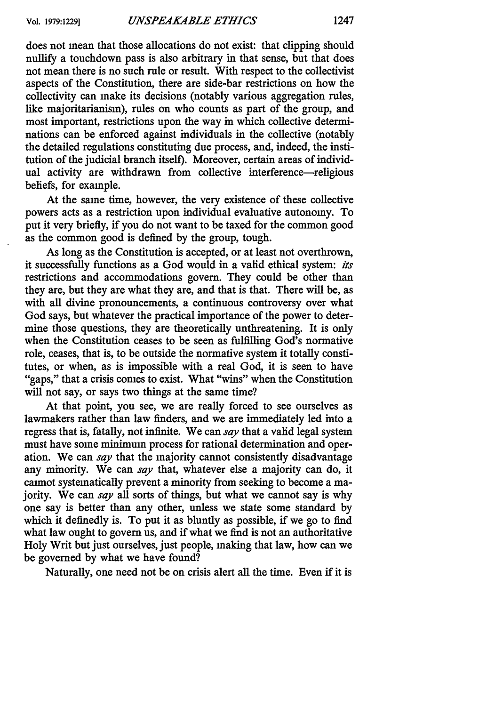does not mean that those allocations do not exist: that clipping should nullify a touchdown pass is also arbitrary in that sense, but that does not mean there is no such rule or result. With respect to the collectivist aspects of the Constitution, there are side-bar restrictions on how the collectivity can make its decisions (notably various aggregation rules, like majoritarianism), rules on who counts as part of the group, and most important, restrictions upon the way in which collective determinations can be enforced against individuals in the collective (notably the detailed regulations constituting due process, and, indeed, the institution of the judicial branch itself). Moreover, certain areas of individual activity are withdrawn from collective interference-religious beliefs, for example.

At the same time, however, the very existence of these collective powers acts as a restriction upon individual evaluative autonomy. To put it very briefly, if you do not want to be taxed for the common good as the common good is defined by the group, tough.

As long as the Constitution is accepted, or at least not overthrown, it successfully functions as a God would in a valid ethical system: *its* restrictions and accommodations govern. They could be other than they are, but they are what they are, and that is that. There will be, as with all divine pronouncements, a continuous controversy over what God says, but whatever the practical importance of the power to determine those questions, they are theoretically unthreatening. It is only when the Constitution ceases to be seen as fulfilling God's normative role, ceases, that is, to be outside the normative system it totally constitutes, or when, as is impossible with a real God, it is seen to have "gaps," that a crisis comes to exist. What "wins" when the Constitution will not say, or says two things at the same time?

At that point, you see, we are really forced to see ourselves as lawmakers rather than law finders, and we are immediately led into a regress that is, fatally, not infinite. We can *say* that a valid legal system must have some minimum process for rational determination and operation. We can *say* that the majority cannot consistently disadvantage any minority. We can *say* that, whatever else a majority can do, it cannot systematically prevent a minority from seeking to become a majority. We can *say* all sorts of things, but what we cannot say is why one say is better than any other, unless we state some standard by which it definedly is. To put it as bluntly as possible, if we go to find what law ought to govern us, and if what we find is not an authoritative Holy Writ but just ourselves, just people, making that law, how can we be governed by what we have found?

Naturally, one need not be on crisis alert all the time. Even if it is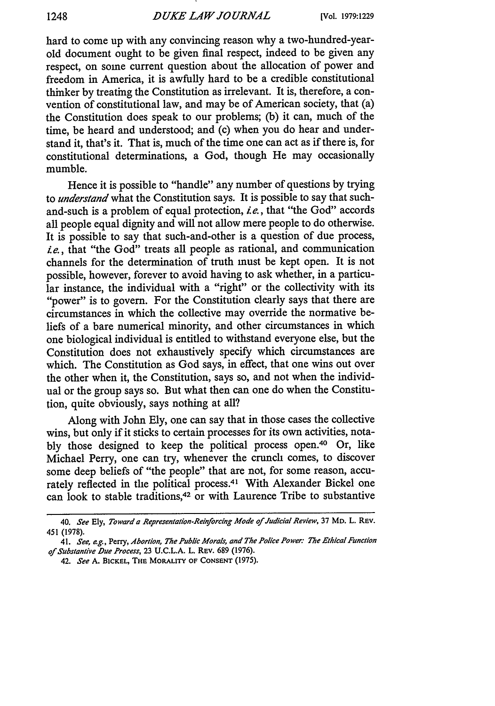hard to come up with any convincing reason why a two-hundred-yearold document ought to be given final respect, indeed to be given any respect, on some current question about the allocation of power and freedom in America, it is awfully hard to be a credible constitutional thinker by treating the Constitution as irrelevant. It is, therefore, a convention of constitutional law, and may be of American society, that (a) the Constitution does speak to our problems; (b) it can, much of the time, be heard and understood; and (c) when you do hear and understand it, that's it. That is, much of the time one can act as if there is, for constitutional determinations, a God, though He may occasionally mumble.

Hence it is possible to "handle" any number of questions by trying to *understand* what the Constitution says. It is possible to say that suchand-such is a problem of equal protection, *ie.,* that "the God" accords all people equal dignity and will not allow mere people to do otherwise. It is possible to say that such-and-other is a question of due process, *i e.,* that "the God" treats all people as rational, and communication channels for the determination of truth must be kept open. It is not possible, however, forever to avoid having to ask whether, in a particular instance, the individual with a "right" or the collectivity with its "power" is to govern. For the Constitution clearly says that there are circumstances in which the collective may override the normative beliefs of a bare numerical minority, and other circumstances in which one biological individual is entitled to withstand everyone else, but the Constitution does not exhaustively specify which circumstances are which. The Constitution as God says, in effect, that one wins out over the other when it, the Constitution, says so, and not when the individual or the group says so. But what then can one do when the Constitution, quite obviously, says nothing at all?

Along with John Ely, one can say that in those cases the collective wins, but only if it sticks to certain processes for its own activities, notably those designed to keep the political process open.40 Or, like Michael Perry, one can try, whenever the crunch comes, to discover some deep beliefs of "the people" that are not, for some reason, accurately reflected in the political process.<sup>41</sup> With Alexander Bickel one can look to stable traditions, 42 or with Laurence Tribe to substantive

<sup>40.</sup> *See* **Ely,** *Toward a Representation-Reinforcing Mode of Judicial Review,* **37** MD. L. REv. 451 (1978).

<sup>41.</sup> *See, e.g.,* Perry, *Abortion, The Public Morals, and The Police Power: The Ethical Function ofSubstantive Due Process,* 23 U.C.L.A. L. REv. 689 (1976).

<sup>42.</sup> *See* A. BICKEL, **THE MORALITY** OF **CONSENT** (1975).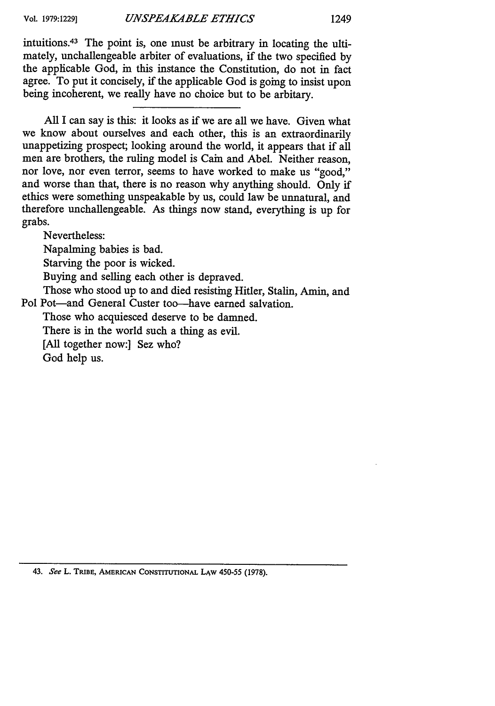intuitions.43 The point is, one must be arbitrary in locating the ultimately, unchallengeable arbiter of evaluations, if the two specified by the applicable God, in this instance the Constitution, do not in fact agree. To put it concisely, if the applicable God is going to insist upon being incoherent, we really have no choice but to be arbitary.

All I can say is this: it looks as if we are all we have. Given what we know about ourselves and each other, this is an extraordinarily unappetizing prospect; looking around the world, it appears that if all men are brothers, the ruling model is Cain and Abel. Neither reason, nor love, nor even terror, seems to have worked to make us "good," and worse than that, there is no reason why anything should. Only if ethics were something unspeakable by us, could law be unnatural, and therefore unchallengeable. As things now stand, everything is up for grabs.

Nevertheless:

Napalming babies is bad.

Starving the poor is wicked.

Buying and selling each other is depraved.

Those who stood up to and died resisting Hitler, Stalin, Amin, and Pol Pot-and General Custer too-have earned salvation.

Those who acquiesced deserve to be damned.

There is in the world such a thing as evil.

[All together now:] Sez who?

God help us.

43. **See** L. **TRIBE, AMERICAN CONSTITUTIONAL LAw** 450-55 **(1978).**